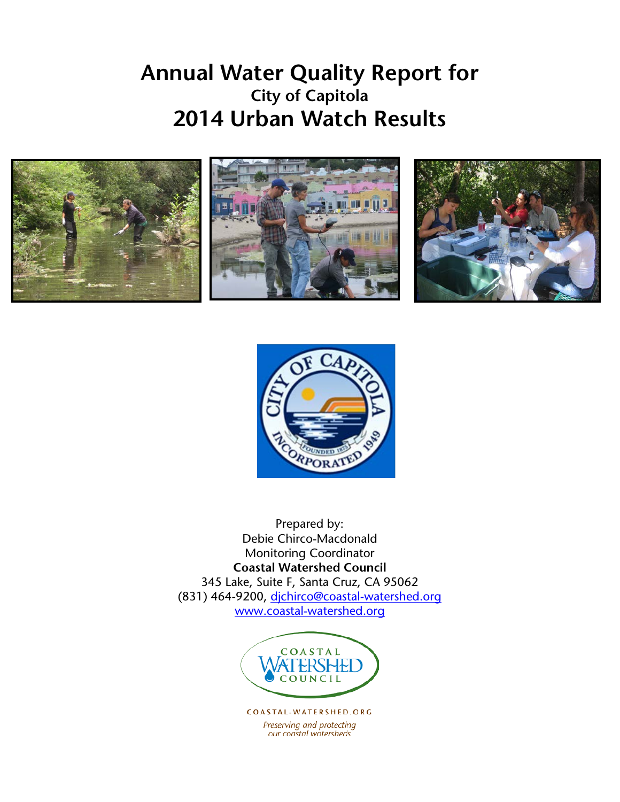# **Annual Water Quality Report for City of Capitola 2014 Urban Watch Results**





Prepared by: Debie Chirco-Macdonald Monitoring Coordinator **Coastal Watershed Council** 345 Lake, Suite F, Santa Cruz, CA 95062 (831) 464-9200, [djchirco@coastal-watershed.org](mailto:djchirco@coastal-watershed.org) [www.coastal-watershed.org](http://www.coastal-watershed.org/)



COASTAL-WATERSHED.ORG Preserving and protecting our coastal watersheds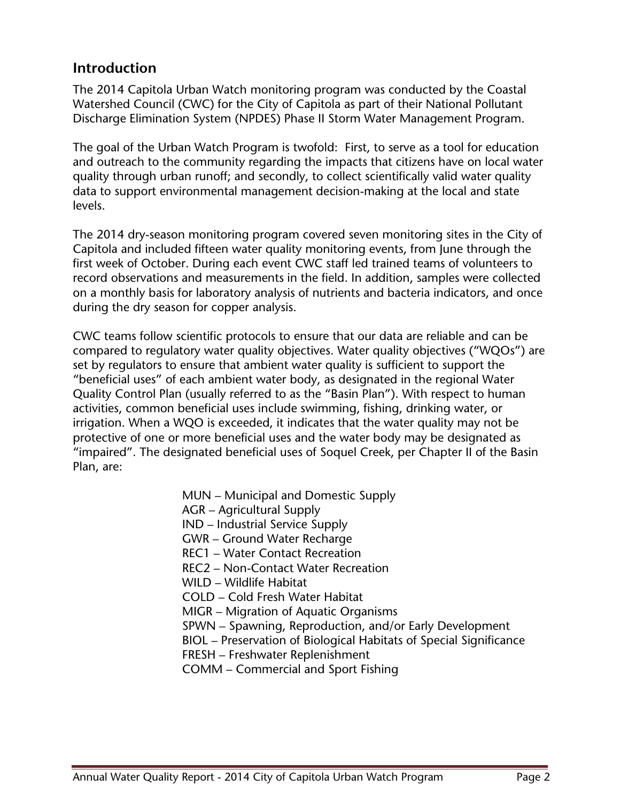## **Introduction**

The 2014 Capitola Urban Watch monitoring program was conducted by the Coastal Watershed Council (CWC) for the City of Capitola as part of their National Pollutant Discharge Elimination System (NPDES) Phase II Storm Water Management Program.

The goal of the Urban Watch Program is twofold: First, to serve as a tool for education and outreach to the community regarding the impacts that citizens have on local water quality through urban runoff; and secondly, to collect scientifically valid water quality data to support environmental management decision-making at the local and state levels.

The 2014 dry-season monitoring program covered seven monitoring sites in the City of Capitola and included fifteen water quality monitoring events, from June through the first week of October. During each event CWC staff led trained teams of volunteers to record observations and measurements in the field. In addition, samples were collected on a monthly basis for laboratory analysis of nutrients and bacteria indicators, and once during the dry season for copper analysis.

CWC teams follow scientific protocols to ensure that our data are reliable and can be compared to regulatory water quality objectives. Water quality objectives ("WQOs") are set by regulators to ensure that ambient water quality is sufficient to support the "beneficial uses" of each ambient water body, as designated in the regional Water Quality Control Plan (usually referred to as the "Basin Plan"). With respect to human activities, common beneficial uses include swimming, fishing, drinking water, or irrigation. When a WQO is exceeded, it indicates that the water quality may not be protective of one or more beneficial uses and the water body may be designated as "impaired". The designated beneficial uses of Soquel Creek, per Chapter II of the Basin Plan, are:

- MUN Municipal and Domestic Supply
- AGR Agricultural Supply
- IND Industrial Service Supply
- GWR Ground Water Recharge
- REC1 Water Contact Recreation
- REC2 Non-Contact Water Recreation
- WILD Wildlife Habitat
- COLD Cold Fresh Water Habitat
- MIGR Migration of Aquatic Organisms
- SPWN Spawning, Reproduction, and/or Early Development
- BIOL Preservation of Biological Habitats of Special Significance
- FRESH Freshwater Replenishment
- COMM Commercial and Sport Fishing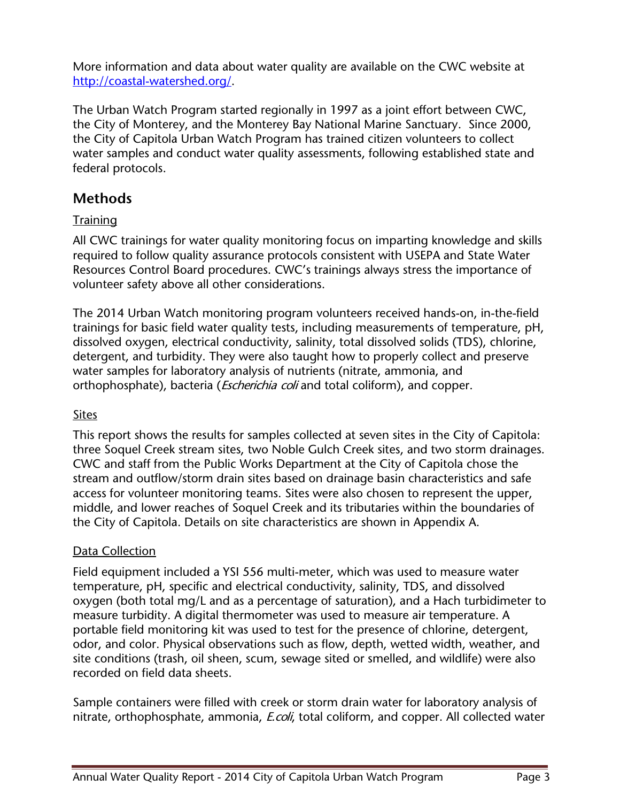More information and data about water quality are available on the CWC website at [http://coastal-watershed.org/.](http://coastal-watershed.org/)

The Urban Watch Program started regionally in 1997 as a joint effort between CWC, the City of Monterey, and the Monterey Bay National Marine Sanctuary. Since 2000, the City of Capitola Urban Watch Program has trained citizen volunteers to collect water samples and conduct water quality assessments, following established state and federal protocols.

## **Methods**

**Training** 

All CWC trainings for water quality monitoring focus on imparting knowledge and skills required to follow quality assurance protocols consistent with USEPA and State Water Resources Control Board procedures. CWC's trainings always stress the importance of volunteer safety above all other considerations.

The 2014 Urban Watch monitoring program volunteers received hands-on, in-the-field trainings for basic field water quality tests, including measurements of temperature, pH, dissolved oxygen, electrical conductivity, salinity, total dissolved solids (TDS), chlorine, detergent, and turbidity. They were also taught how to properly collect and preserve water samples for laboratory analysis of nutrients (nitrate, ammonia, and orthophosphate), bacteria (*Escherichia coli* and total coliform), and copper.

#### Sites

This report shows the results for samples collected at seven sites in the City of Capitola: three Soquel Creek stream sites, two Noble Gulch Creek sites, and two storm drainages. CWC and staff from the Public Works Department at the City of Capitola chose the stream and outflow/storm drain sites based on drainage basin characteristics and safe access for volunteer monitoring teams. Sites were also chosen to represent the upper, middle, and lower reaches of Soquel Creek and its tributaries within the boundaries of the City of Capitola. Details on site characteristics are shown in Appendix A.

#### Data Collection

Field equipment included a YSI 556 multi-meter, which was used to measure water temperature, pH, specific and electrical conductivity, salinity, TDS, and dissolved oxygen (both total mg/L and as a percentage of saturation), and a Hach turbidimeter to measure turbidity. A digital thermometer was used to measure air temperature. A portable field monitoring kit was used to test for the presence of chlorine, detergent, odor, and color. Physical observations such as flow, depth, wetted width, weather, and site conditions (trash, oil sheen, scum, sewage sited or smelled, and wildlife) were also recorded on field data sheets.

Sample containers were filled with creek or storm drain water for laboratory analysis of nitrate, orthophosphate, ammonia, *E.coli*, total coliform, and copper. All collected water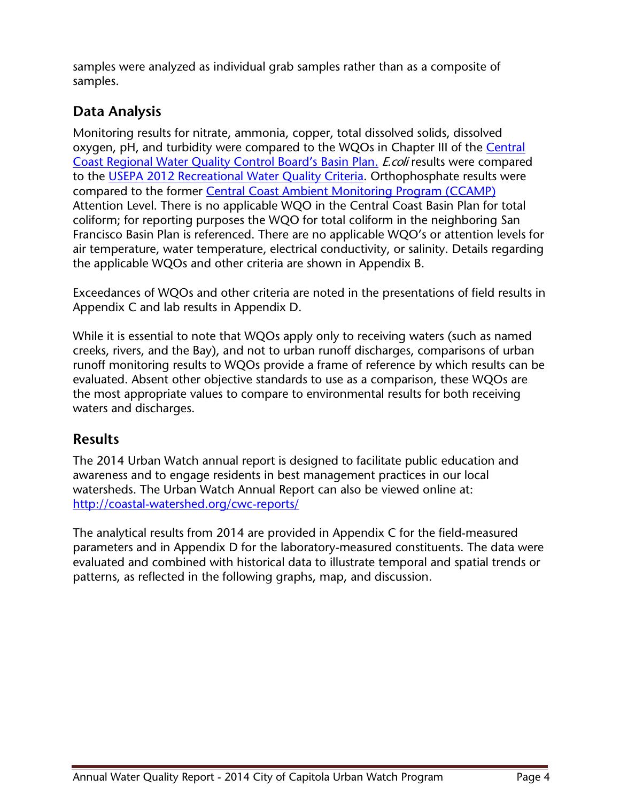samples were analyzed as individual grab samples rather than as a composite of samples.

## **Data Analysis**

Monitoring results for nitrate, ammonia, copper, total dissolved solids, dissolved oxygen, pH, and turbidity were compared to the WQOs in Chapter III of the Central [Coast Regional Water Quality Control Board's Basin Plan.](http://www.waterboards.ca.gov/centralcoast/publications_forms/publications/basin_plan/docs/basin_plan_2011.pdf) E.coli results were compared to the [USEPA 2012 Recreational Water](http://water.epa.gov/scitech/swguidance/standards/criteria/health/recreation/upload/factsheet2012.pdf) Quality Criteria. Orthophosphate results were compared to the former [Central Coast Ambient Monitoring Program \(CCAMP\)](http://ccamp.org/) Attention Level. There is no applicable WQO in the Central Coast Basin Plan for total coliform; for reporting purposes the WQO for total coliform in the neighboring San Francisco Basin Plan is referenced. There are no applicable WQO's or attention levels for air temperature, water temperature, electrical conductivity, or salinity. Details regarding the applicable WQOs and other criteria are shown in Appendix B.

Exceedances of WQOs and other criteria are noted in the presentations of field results in Appendix C and lab results in Appendix D.

While it is essential to note that WQOs apply only to receiving waters (such as named creeks, rivers, and the Bay), and not to urban runoff discharges, comparisons of urban runoff monitoring results to WQOs provide a frame of reference by which results can be evaluated. Absent other objective standards to use as a comparison, these WQOs are the most appropriate values to compare to environmental results for both receiving waters and discharges.

## **Results**

The 2014 Urban Watch annual report is designed to facilitate public education and awareness and to engage residents in best management practices in our local watersheds. The Urban Watch Annual Report can also be viewed online at: <http://coastal-watershed.org/cwc-reports/>

The analytical results from 2014 are provided in Appendix C for the field-measured parameters and in Appendix D for the laboratory-measured constituents. The data were evaluated and combined with historical data to illustrate temporal and spatial trends or patterns, as reflected in the following graphs, map, and discussion.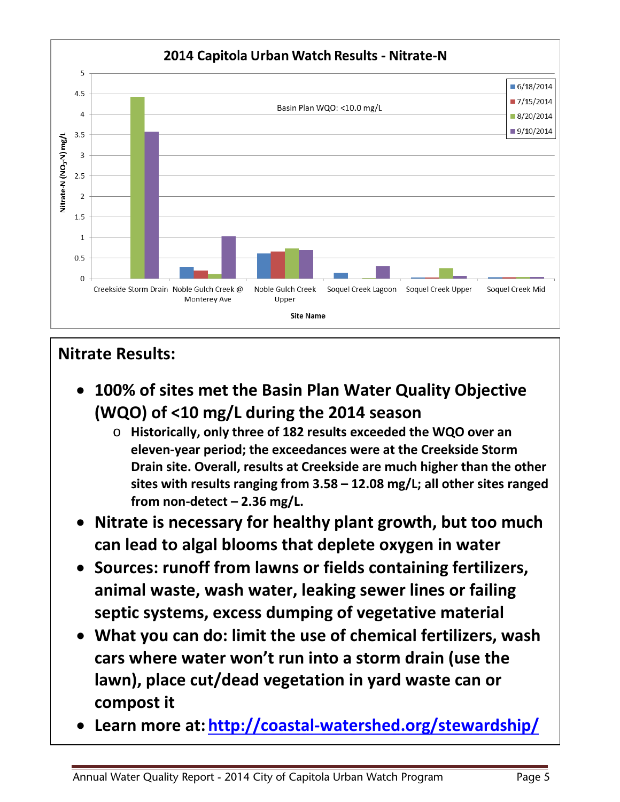

## **Nitrate Results:**

- **100% of sites met the Basin Plan Water Quality Objective (WQO) of <10 mg/L during the 2014 season**
	- o **Historically, only three of 182 results exceeded the WQO over an eleven-year period; the exceedances were at the Creekside Storm Drain site. Overall, results at Creekside are much higher than the other sites with results ranging from 3.58 – 12.08 mg/L; all other sites ranged from non-detect – 2.36 mg/L.**
- **Nitrate is necessary for healthy plant growth, but too much can lead to algal blooms that deplete oxygen in water**
- **Sources: runoff from lawns or fields containing fertilizers, animal waste, wash water, leaking sewer lines or failing septic systems, excess dumping of vegetative material**
- **What you can do: limit the use of chemical fertilizers, wash cars where water won't run into a storm drain (use the lawn), place cut/dead vegetation in yard waste can or compost it**
- **Learn more at: <http://coastal-watershed.org/stewardship/>**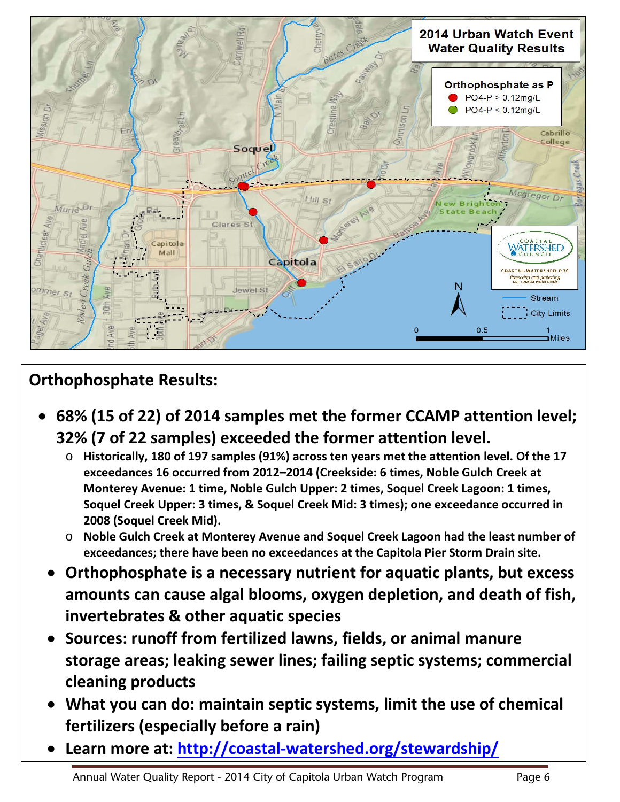

# **Orthophosphate Results:**

- **68% (15 of 22) of 2014 samples met the former CCAMP attention level; 32% (7 of 22 samples) exceeded the former attention level.** 
	- o **Historically, 180 of 197 samples (91%) across ten years met the attention level. Of the 17 exceedances 16 occurred from 2012–2014 (Creekside: 6 times, Noble Gulch Creek at Monterey Avenue: 1 time, Noble Gulch Upper: 2 times, Soquel Creek Lagoon: 1 times, Soquel Creek Upper: 3 times, & Soquel Creek Mid: 3 times); one exceedance occurred in 2008 (Soquel Creek Mid).**
	- o **Noble Gulch Creek at Monterey Avenue and Soquel Creek Lagoon had the least number of exceedances; there have been no exceedances at the Capitola Pier Storm Drain site.**
	- **Orthophosphate is a necessary nutrient for aquatic plants, but excess amounts can cause algal blooms, oxygen depletion, and death of fish, invertebrates & other aquatic species**
	- **Sources: runoff from fertilized lawns, fields, or animal manure storage areas; leaking sewer lines; failing septic systems; commercial cleaning products**
	- **What you can do: maintain septic systems, limit the use of chemical fertilizers (especially before a rain)**
	- **Learn more at:<http://coastal-watershed.org/stewardship/>**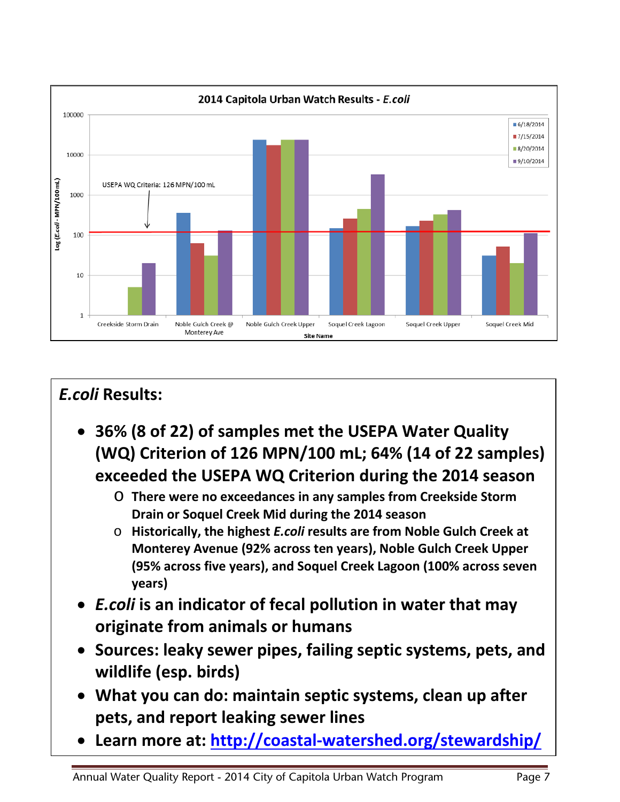

# *E.coli* **Results:**

- **36% (8 of 22) of samples met the USEPA Water Quality (WQ) Criterion of 126 MPN/100 mL; 64% (14 of 22 samples) exceeded the USEPA WQ Criterion during the 2014 season**
	- o **There were no exceedances in any samples from Creekside Storm Drain or Soquel Creek Mid during the 2014 season**
	- o **Historically, the highest** *E.coli* **results are from Noble Gulch Creek at Monterey Avenue (92% across ten years), Noble Gulch Creek Upper (95% across five years), and Soquel Creek Lagoon (100% across seven years)**
- *E.coli* **is an indicator of fecal pollution in water that may originate from animals or humans**
- **Sources: leaky sewer pipes, failing septic systems, pets, and wildlife (esp. birds)**
- **What you can do: maintain septic systems, clean up after pets, and report leaking sewer lines**
- **Learn more at:<http://coastal-watershed.org/stewardship/>**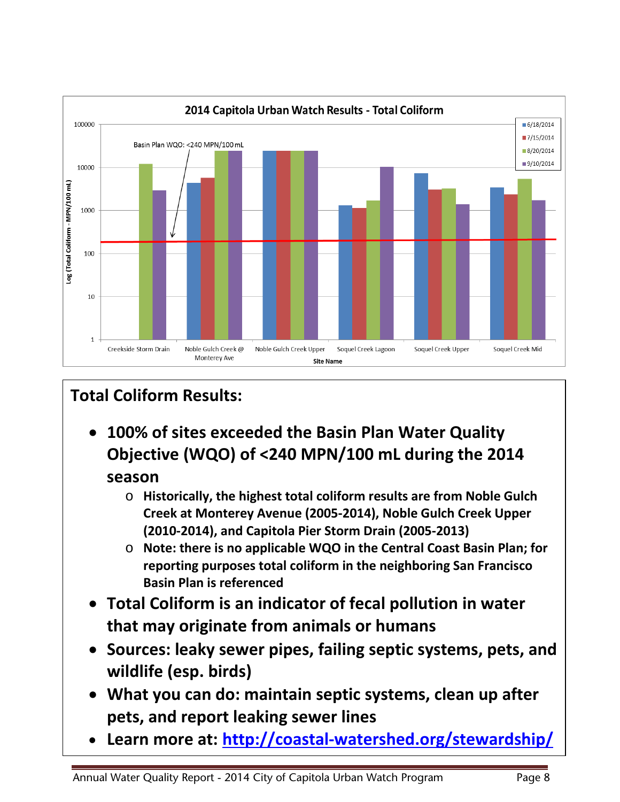

# **Total Coliform Results:**

- **100% of sites exceeded the Basin Plan Water Quality Objective (WQO) of <240 MPN/100 mL during the 2014 season**
	- o **Historically, the highest total coliform results are from Noble Gulch Creek at Monterey Avenue (2005-2014), Noble Gulch Creek Upper (2010-2014), and Capitola Pier Storm Drain (2005-2013)**
	- o **Note: there is no applicable WQO in the Central Coast Basin Plan; for reporting purposes total coliform in the neighboring San Francisco Basin Plan is referenced**
- **Total Coliform is an indicator of fecal pollution in water that may originate from animals or humans**
- **Sources: leaky sewer pipes, failing septic systems, pets, and wildlife (esp. birds)**
- **What you can do: maintain septic systems, clean up after pets, and report leaking sewer lines**
- **Learn more at: <http://coastal-watershed.org/stewardship/>**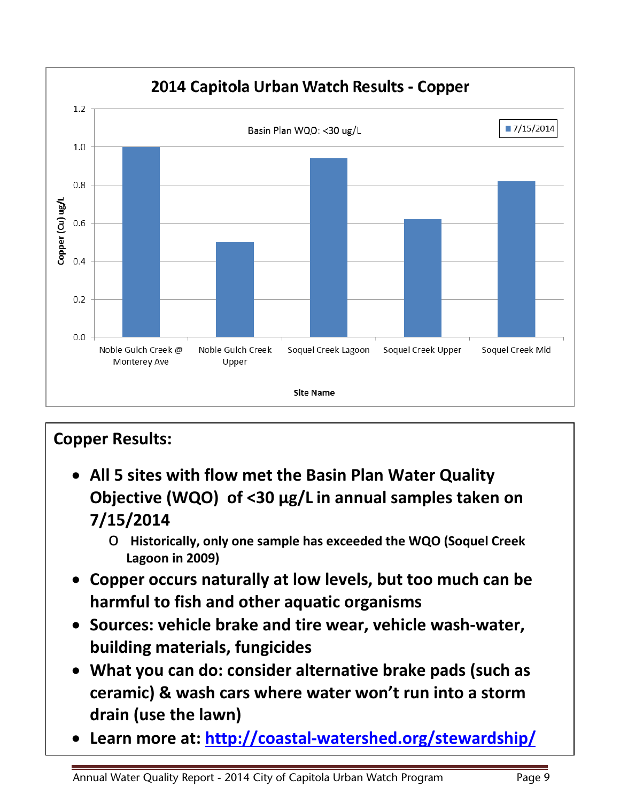

# **Copper Results:** • **All 5 sites with flow met the Basin Plan Water Quality Objective (WQO) of <30 µg/L in annual samples taken on**

- **7/15/2014**
	- o **Historically, only one sample has exceeded the WQO (Soquel Creek Lagoon in 2009)**
- **Copper occurs naturally at low levels, but too much can be harmful to fish and other aquatic organisms**
- **Sources: vehicle brake and tire wear, vehicle wash-water, building materials, fungicides**
- **What you can do: consider alternative brake pads (such as ceramic) & wash cars where water won't run into a storm drain (use the lawn)**
- **Learn more at:<http://coastal-watershed.org/stewardship/>**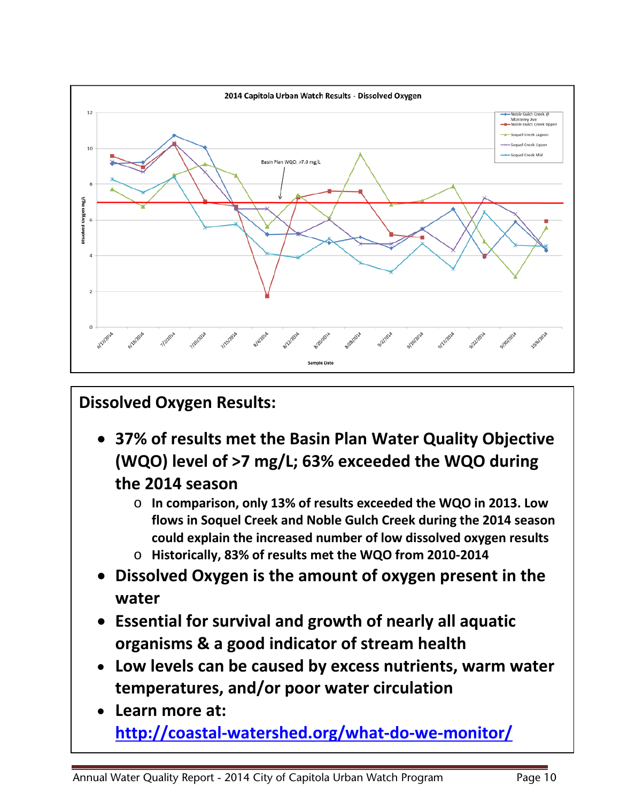

# **Dissolved Oxygen Results:**

- **37% of results met the Basin Plan Water Quality Objective (WQO) level of >7 mg/L; 63% exceeded the WQO during the 2014 season**
	- o **In comparison, only 13% of results exceeded the WQO in 2013. Low flows in Soquel Creek and Noble Gulch Creek during the 2014 season could explain the increased number of low dissolved oxygen results**
	- o **Historically, 83% of results met the WQO from 2010-2014**
- **Dissolved Oxygen is the amount of oxygen present in the water**
- **Essential for survival and growth of nearly all aquatic organisms & a good indicator of stream health**
- **Low levels can be caused by excess nutrients, warm water temperatures, and/or poor water circulation**
- **Learn more at: <http://coastal-watershed.org/what-do-we-monitor/>**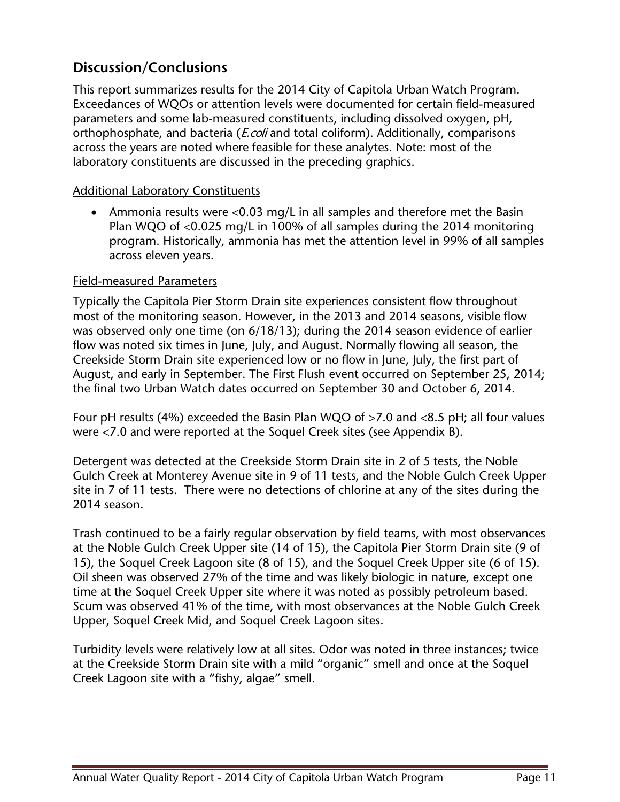## **Discussion/Conclusions**

This report summarizes results for the 2014 City of Capitola Urban Watch Program. Exceedances of WQOs or attention levels were documented for certain field-measured parameters and some lab-measured constituents, including dissolved oxygen, pH, orthophosphate, and bacteria (*E.coli* and total coliform). Additionally, comparisons across the years are noted where feasible for these analytes. Note: most of the laboratory constituents are discussed in the preceding graphics.

#### Additional Laboratory Constituents

• Ammonia results were <0.03 mg/L in all samples and therefore met the Basin Plan WQO of <0.025 mg/L in 100% of all samples during the 2014 monitoring program. Historically, ammonia has met the attention level in 99% of all samples across eleven years.

#### Field-measured Parameters

Typically the Capitola Pier Storm Drain site experiences consistent flow throughout most of the monitoring season. However, in the 2013 and 2014 seasons, visible flow was observed only one time (on 6/18/13); during the 2014 season evidence of earlier flow was noted six times in June, July, and August. Normally flowing all season, the Creekside Storm Drain site experienced low or no flow in June, July, the first part of August, and early in September. The First Flush event occurred on September 25, 2014; the final two Urban Watch dates occurred on September 30 and October 6, 2014.

Four pH results (4%) exceeded the Basin Plan WQO of >7.0 and <8.5 pH; all four values were <7.0 and were reported at the Soquel Creek sites (see Appendix B).

Detergent was detected at the Creekside Storm Drain site in 2 of 5 tests, the Noble Gulch Creek at Monterey Avenue site in 9 of 11 tests, and the Noble Gulch Creek Upper site in 7 of 11 tests. There were no detections of chlorine at any of the sites during the 2014 season.

Trash continued to be a fairly regular observation by field teams, with most observances at the Noble Gulch Creek Upper site (14 of 15), the Capitola Pier Storm Drain site (9 of 15), the Soquel Creek Lagoon site (8 of 15), and the Soquel Creek Upper site (6 of 15). Oil sheen was observed 27% of the time and was likely biologic in nature, except one time at the Soquel Creek Upper site where it was noted as possibly petroleum based. Scum was observed 41% of the time, with most observances at the Noble Gulch Creek Upper, Soquel Creek Mid, and Soquel Creek Lagoon sites.

Turbidity levels were relatively low at all sites. Odor was noted in three instances; twice at the Creekside Storm Drain site with a mild "organic" smell and once at the Soquel Creek Lagoon site with a "fishy, algae" smell.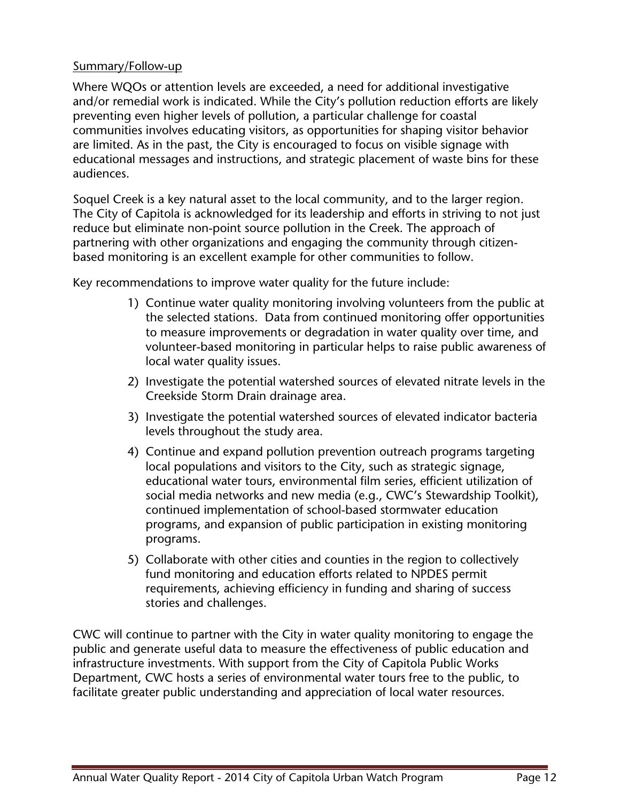#### Summary/Follow-up

Where WQOs or attention levels are exceeded, a need for additional investigative and/or remedial work is indicated. While the City's pollution reduction efforts are likely preventing even higher levels of pollution, a particular challenge for coastal communities involves educating visitors, as opportunities for shaping visitor behavior are limited. As in the past, the City is encouraged to focus on visible signage with educational messages and instructions, and strategic placement of waste bins for these audiences.

Soquel Creek is a key natural asset to the local community, and to the larger region. The City of Capitola is acknowledged for its leadership and efforts in striving to not just reduce but eliminate non-point source pollution in the Creek. The approach of partnering with other organizations and engaging the community through citizenbased monitoring is an excellent example for other communities to follow.

Key recommendations to improve water quality for the future include:

- 1) Continue water quality monitoring involving volunteers from the public at the selected stations. Data from continued monitoring offer opportunities to measure improvements or degradation in water quality over time, and volunteer-based monitoring in particular helps to raise public awareness of local water quality issues.
- 2) Investigate the potential watershed sources of elevated nitrate levels in the Creekside Storm Drain drainage area.
- 3) Investigate the potential watershed sources of elevated indicator bacteria levels throughout the study area.
- 4) Continue and expand pollution prevention outreach programs targeting local populations and visitors to the City, such as strategic signage, educational water tours, environmental film series, efficient utilization of social media networks and new media (e.g., CWC's Stewardship Toolkit), continued implementation of school-based stormwater education programs, and expansion of public participation in existing monitoring programs.
- 5) Collaborate with other cities and counties in the region to collectively fund monitoring and education efforts related to NPDES permit requirements, achieving efficiency in funding and sharing of success stories and challenges.

CWC will continue to partner with the City in water quality monitoring to engage the public and generate useful data to measure the effectiveness of public education and infrastructure investments. With support from the City of Capitola Public Works Department, CWC hosts a series of environmental water tours free to the public, to facilitate greater public understanding and appreciation of local water resources.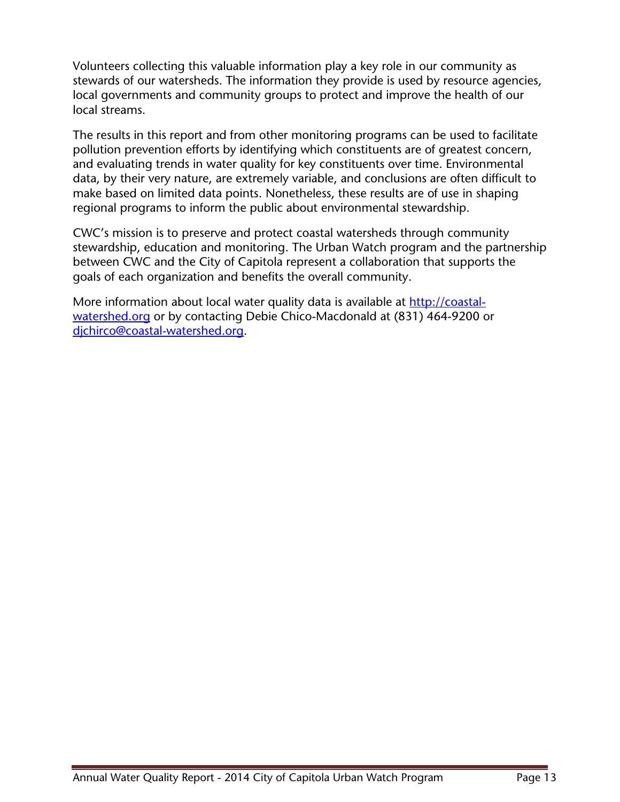Volunteers collecting this valuable information play a key role in our community as stewards of our watersheds. The information they provide is used by resource agencies, local governments and community groups to protect and improve the health of our local streams.

The results in this report and from other monitoring programs can be used to facilitate pollution prevention efforts by identifying which constituents are of greatest concern, and evaluating trends in water quality for key constituents over time. Environmental data, by their very nature, are extremely variable, and conclusions are often difficult to make based on limited data points. Nonetheless, these results are of use in shaping regional programs to inform the public about environmental stewardship.

CWC's mission is to preserve and protect coastal watersheds through community stewardship, education and monitoring. The Urban Watch program and the partnership between CWC and the City of Capitola represent a collaboration that supports the goals of each organization and benefits the overall community.

More information about local water quality data is available at [http://coastal](http://coastal-watershed.org/)[watershed.org](http://coastal-watershed.org/) or by contacting Debie Chico-Macdonald at (831) 464-9200 or [djchirco@coastal-watershed.org.](mailto:djchirco@coastal-watershed.org)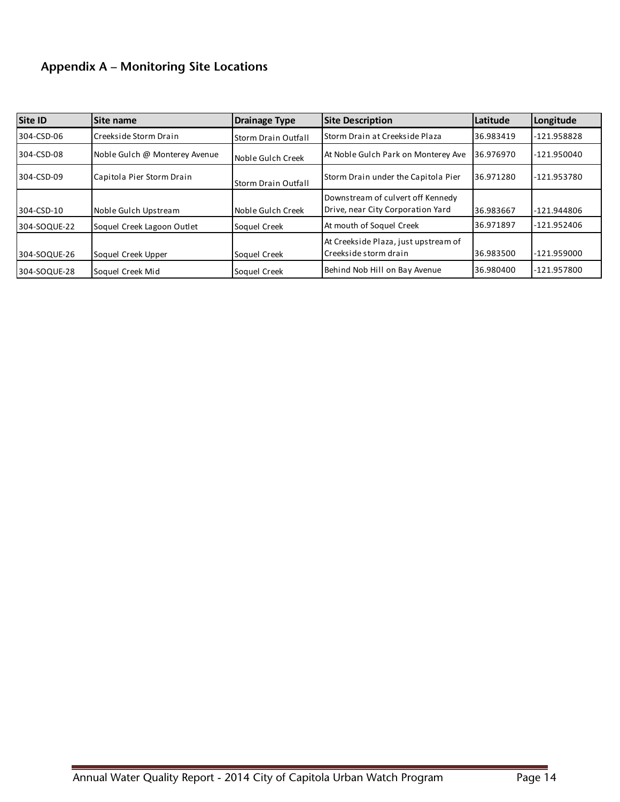### **Appendix A – Monitoring Site Locations**

| Site ID      | <b>Site name</b>              | <b>Drainage Type</b>       | <b>Site Description</b>                 | Latitude  | Longitude     |
|--------------|-------------------------------|----------------------------|-----------------------------------------|-----------|---------------|
| 304-CSD-06   | Creekside Storm Drain         | <b>Storm Drain Outfall</b> | <b>I</b> Storm Drain at Creekside Plaza | 36.983419 | $-121.958828$ |
| 304-CSD-08   | Noble Gulch @ Monterey Avenue | Noble Gulch Creek          | At Noble Gulch Park on Monterey Ave     | 36.976970 | $-121.950040$ |
| 304-CSD-09   | Capitola Pier Storm Drain     | <b>Storm Drain Outfall</b> | Storm Drain under the Capitola Pier     | 36.971280 | -121.953780   |
|              |                               |                            | Downstream of culvert off Kennedy       |           |               |
| 304-CSD-10   | Noble Gulch Upstream          | Noble Gulch Creek          | Drive, near City Corporation Yard       | 36.983667 | -121.944806   |
| 304-SOQUE-22 | Soquel Creek Lagoon Outlet    | Soquel Creek               | At mouth of Soquel Creek                | 36.971897 | -121.952406   |
|              |                               |                            | At Creekside Plaza, just upstream of    |           |               |
| 304-SOQUE-26 | Soquel Creek Upper            | Soquel Creek               | <b>I</b> Creekside storm drain          | 36.983500 | $-121.959000$ |
| 304-SOQUE-28 | Soquel Creek Mid              | Soquel Creek               | Behind Nob Hill on Bay Avenue           | 36.980400 | -121.957800   |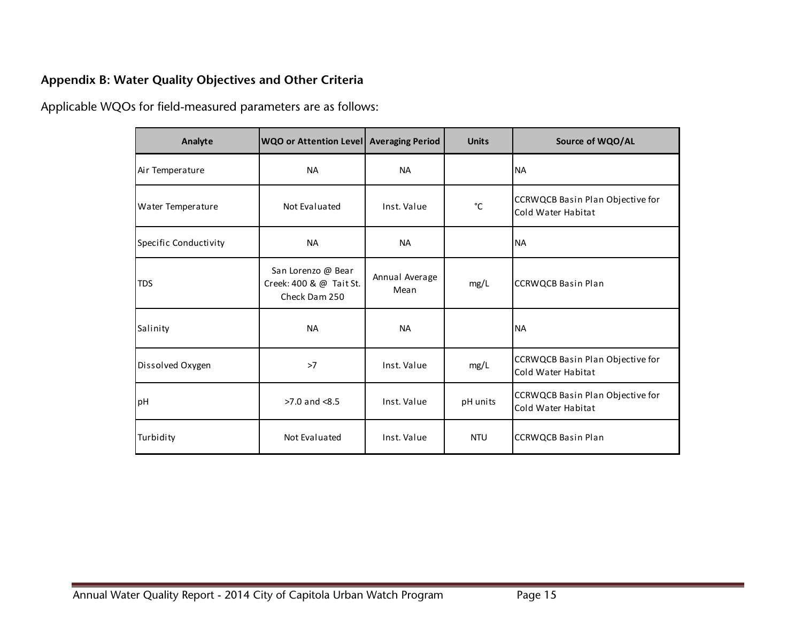### **Appendix B: Water Quality Objectives and Other Criteria**

Applicable WQOs for field-measured parameters are as follows:

| Analyte               | WQO or Attention Level   Averaging Period                      |                        | <b>Units</b> | Source of WQO/AL                                       |
|-----------------------|----------------------------------------------------------------|------------------------|--------------|--------------------------------------------------------|
| Air Temperature       | <b>NA</b>                                                      | <b>NA</b>              |              | <b>NA</b>                                              |
| Water Temperature     | Not Evaluated                                                  | Inst. Value            | °C           | CCRWQCB Basin Plan Objective for<br>Cold Water Habitat |
| Specific Conductivity | <b>NA</b>                                                      | <b>NA</b>              |              | <b>NA</b>                                              |
| <b>TDS</b>            | San Lorenzo @ Bear<br>Creek: 400 & @ Tait St.<br>Check Dam 250 | Annual Average<br>Mean | mg/L         | <b>CCRWQCB Basin Plan</b>                              |
| Salinity              | <b>NA</b>                                                      | <b>NA</b>              |              | <b>NA</b>                                              |
| Dissolved Oxygen      | >7                                                             | Inst. Value            | mg/L         | CCRWQCB Basin Plan Objective for<br>Cold Water Habitat |
| pH                    | $>7.0$ and $<8.5$                                              | Inst. Value            | pH units     | CCRWQCB Basin Plan Objective for<br>Cold Water Habitat |
| Turbidity             | Not Evaluated                                                  | Inst. Value            | <b>NTU</b>   | <b>CCRWQCB Basin Plan</b>                              |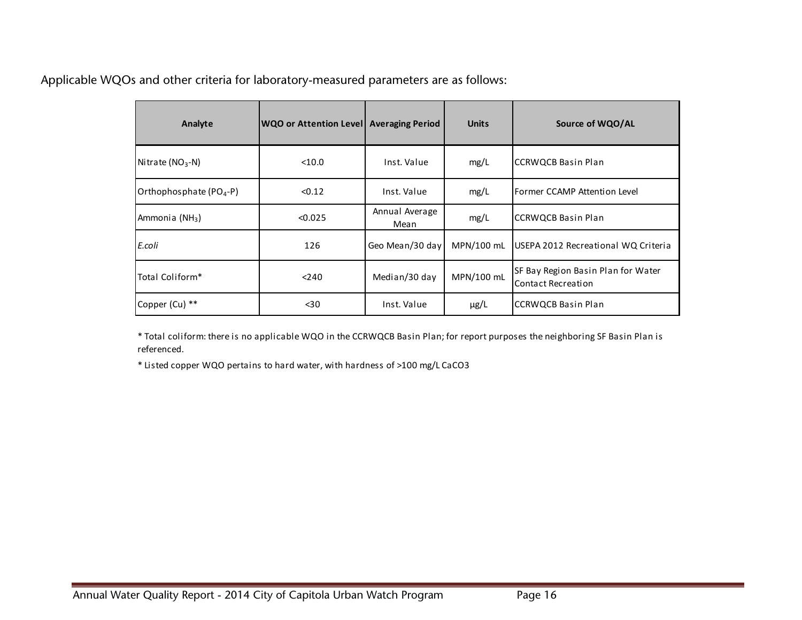Applicable WQOs and other criteria for laboratory-measured parameters are as follows:

| Analyte                    | WQO or Attention Level   Averaging Period |                        | <b>Units</b> | Source of WQO/AL                                                |
|----------------------------|-------------------------------------------|------------------------|--------------|-----------------------------------------------------------------|
| Nitrate ( $NO3$ -N)        | $<$ 10.0                                  | Inst. Value            | mg/L         | <b>CCRWQCB Basin Plan</b>                                       |
| Orthophosphate $(PO4-P)$   | < 0.12                                    | Inst. Value            | mg/L         | Former CCAMP Attention Level                                    |
| Ammonia (NH <sub>3</sub> ) | < 0.025                                   | Annual Average<br>Mean | mg/L         | <b>CCRWQCB Basin Plan</b>                                       |
| E.coli                     | 126                                       | Geo Mean/30 day        | MPN/100 mL   | USEPA 2012 Recreational WQ Criteria                             |
| Total Coliform*            | < 240                                     | Median/30 day          | MPN/100 mL   | SF Bay Region Basin Plan for Water<br><b>Contact Recreation</b> |
| Copper (Cu) **             | $30$                                      | Inst. Value            | $\mu$ g/L    | <b>CCRWQCB Basin Plan</b>                                       |

\* Total coliform: there is no applicable WQO in the CCRWQCB Basin Plan; for report purposes the neighboring SF Basin Plan is referenced.

\* Listed copper WQO pertains to hard water, with hardness of >100 mg/L CaCO3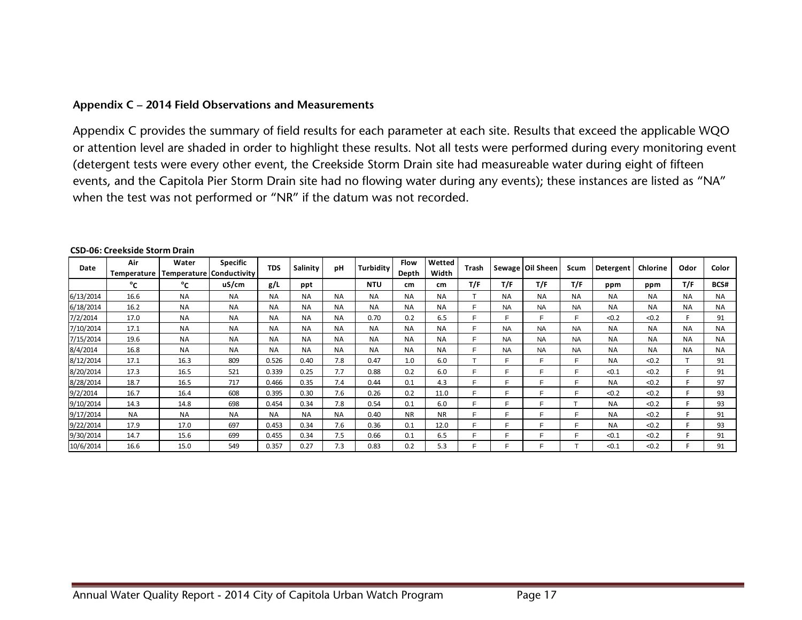#### **Appendix C – 2014 Field Observations and Measurements**

Appendix C provides the summary of field results for each parameter at each site. Results that exceed the applicable WQO or attention level are shaded in order to highlight these results. Not all tests were performed during every monitoring event (detergent tests were every other event, the Creekside Storm Drain site had measureable water during eight of fifteen events, and the Capitola Pier Storm Drain site had no flowing water during any events); these instances are listed as "NA" when the test was not performed or "NR" if the datum was not recorded.

| Date      | Air<br>Temperature | Water<br><b>Temperature</b> | <b>Specific</b><br>Conductivity | <b>TDS</b> | Salinity  | pH        | Turbidity  | <b>Flow</b><br>Depth | Wetted<br>Width | Trash |           | Sewage   Oil Sheen | Scum      | Detergent | Chlorine  | Odor      | Color     |
|-----------|--------------------|-----------------------------|---------------------------------|------------|-----------|-----------|------------|----------------------|-----------------|-------|-----------|--------------------|-----------|-----------|-----------|-----------|-----------|
|           | °c                 | °c                          | uS/cm                           | g/L        | ppt       |           | <b>NTU</b> | cm                   | cm              | T/F   | T/F       | T/F                | T/F       | ppm       | ppm       | T/F       | BCS#      |
| 6/13/2014 | 16.6               | <b>NA</b>                   | <b>NA</b>                       | <b>NA</b>  | <b>NA</b> | <b>NA</b> | <b>NA</b>  | <b>NA</b>            | <b>NA</b>       |       | <b>NA</b> | <b>NA</b>          | <b>NA</b> | <b>NA</b> | <b>NA</b> | <b>NA</b> | <b>NA</b> |
| 6/18/2014 | 16.2               | <b>NA</b>                   | <b>NA</b>                       | <b>NA</b>  | <b>NA</b> | <b>NA</b> | <b>NA</b>  | <b>NA</b>            | <b>NA</b>       | Е     | <b>NA</b> | <b>NA</b>          | <b>NA</b> | <b>NA</b> | <b>NA</b> | <b>NA</b> | <b>NA</b> |
| 7/2/2014  | 17.0               | <b>NA</b>                   | <b>NA</b>                       | <b>NA</b>  | <b>NA</b> | <b>NA</b> | 0.70       | 0.2                  | 6.5             | Е     |           |                    |           | < 0.2     | < 0.2     |           | 91        |
| 7/10/2014 | 17.1               | <b>NA</b>                   | <b>NA</b>                       | <b>NA</b>  | <b>NA</b> | <b>NA</b> | <b>NA</b>  | <b>NA</b>            | <b>NA</b>       | Е     | <b>NA</b> | <b>NA</b>          | <b>NA</b> | <b>NA</b> | <b>NA</b> | <b>NA</b> | <b>NA</b> |
| 7/15/2014 | 19.6               | <b>NA</b>                   | <b>NA</b>                       | <b>NA</b>  | <b>NA</b> | <b>NA</b> | <b>NA</b>  | <b>NA</b>            | <b>NA</b>       | Е     | <b>NA</b> | <b>NA</b>          | <b>NA</b> | <b>NA</b> | <b>NA</b> | <b>NA</b> | <b>NA</b> |
| 8/4/2014  | 16.8               | <b>NA</b>                   | <b>NA</b>                       | <b>NA</b>  | <b>NA</b> | <b>NA</b> | <b>NA</b>  | <b>NA</b>            | <b>NA</b>       | Е     | <b>NA</b> | <b>NA</b>          | <b>NA</b> | <b>NA</b> | <b>NA</b> | <b>NA</b> | <b>NA</b> |
| 8/12/2014 | 17.1               | 16.3                        | 809                             | 0.526      | 0.40      | 7.8       | 0.47       | 1.0                  | 6.0             |       | F         |                    |           | <b>NA</b> | < 0.2     |           | 91        |
| 8/20/2014 | 17.3               | 16.5                        | 521                             | 0.339      | 0.25      | 7.7       | 0.88       | 0.2                  | 6.0             | Е     | Е         |                    |           | < 0.1     | < 0.2     |           | 91        |
| 8/28/2014 | 18.7               | 16.5                        | 717                             | 0.466      | 0.35      | 7.4       | 0.44       | 0.1                  | 4.3             | Е     | Е         | ⊏                  |           | <b>NA</b> | < 0.2     |           | 97        |
| 9/2/2014  | 16.7               | 16.4                        | 608                             | 0.395      | 0.30      | 7.6       | 0.26       | 0.2                  | 11.0            | Е     | Е         | c                  |           | < 0.2     | < 0.2     |           | 93        |
| 9/10/2014 | 14.3               | 14.8                        | 698                             | 0.454      | 0.34      | 7.8       | 0.54       | 0.1                  | 6.0             | Е     | Е         |                    |           | <b>NA</b> | < 0.2     |           | 93        |
| 9/17/2014 | <b>NA</b>          | <b>NA</b>                   | <b>NA</b>                       | <b>NA</b>  | <b>NA</b> | <b>NA</b> | 0.40       | <b>NR</b>            | <b>NR</b>       | Е     | Е         |                    |           | <b>NA</b> | < 0.2     |           | 91        |
| 9/22/2014 | 17.9               | 17.0                        | 697                             | 0.453      | 0.34      | 7.6       | 0.36       | 0.1                  | 12.0            | Е     | Е         |                    |           | <b>NA</b> | < 0.2     |           | 93        |
| 9/30/2014 | 14.7               | 15.6                        | 699                             | 0.455      | 0.34      | 7.5       | 0.66       | 0.1                  | 6.5             | Е     |           |                    |           | < 0.1     | < 0.2     |           | 91        |
| 10/6/2014 | 16.6               | 15.0                        | 549                             | 0.357      | 0.27      | 7.3       | 0.83       | 0.2                  | 5.3             | Е     |           |                    |           | < 0.1     | < 0.2     |           | 91        |

#### **CSD-06: Creekside Storm Drain**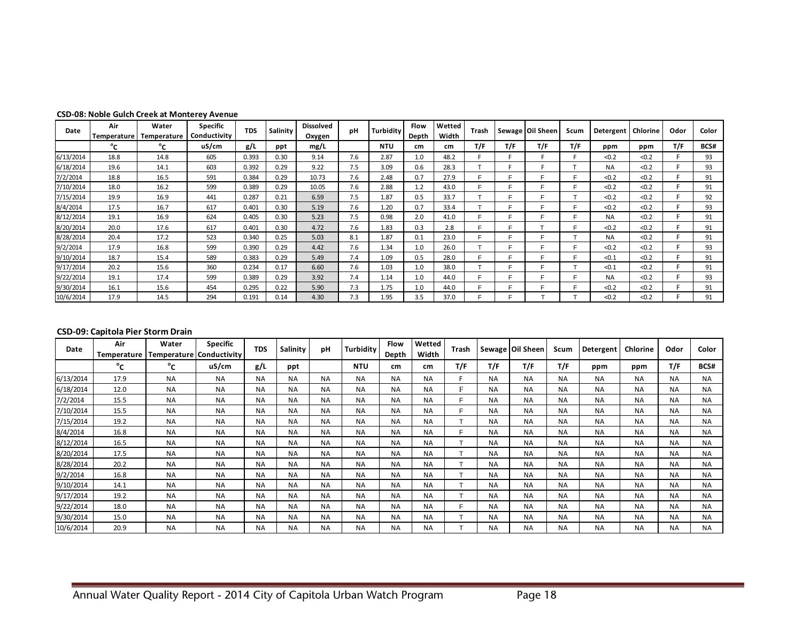| <b>CSD-08: Noble Gulch Creek at Monterey Avenue</b> |  |
|-----------------------------------------------------|--|
|-----------------------------------------------------|--|

| Date      | Air<br>Temperature | Water<br>Temperature | <b>Specific</b><br>Conductivity | <b>TDS</b> | Salinity | <b>Dissolved</b><br>Oxygen | pH  | Turbidity  | <b>Flow</b><br>Depth | Wetted<br>Width | Trash |     | Sewage   Oil Sheen | Scum | Detergent | Chlorine | Odor | Color |
|-----------|--------------------|----------------------|---------------------------------|------------|----------|----------------------------|-----|------------|----------------------|-----------------|-------|-----|--------------------|------|-----------|----------|------|-------|
|           | °c                 | °c                   | uS/cm                           | g/L        | ppt      | mg/L                       |     | <b>NTU</b> | cm                   | cm              | T/F   | T/F | T/F                | T/F  | ppm       | ppm      | T/F  | BCS#  |
| 6/13/2014 | 18.8               | 14.8                 | 605                             | 0.393      | 0.30     | 9.14                       | 7.6 | 2.87       | 1.0                  | 48.2            |       |     |                    | E.   | < 0.2     | < 0.2    |      | 93    |
| 6/18/2014 | 19.6               | 14.1                 | 603                             | 0.392      | 0.29     | 9.22                       | 7.5 | 3.09       | 0.6                  | 28.3            |       |     |                    |      | <b>NA</b> | < 0.2    |      | 93    |
| 7/2/2014  | 18.8               | 16.5                 | 591                             | 0.384      | 0.29     | 10.73                      | 7.6 | 2.48       | 0.7                  | 27.9            | E     |     | F                  | E    | < 0.2     | < 0.2    |      | 91    |
| 7/10/2014 | 18.0               | 16.2                 | 599                             | 0.389      | 0.29     | 10.05                      | 7.6 | 2.88       | 1.2                  | 43.0            |       |     |                    |      | < 0.2     | < 0.2    |      | 91    |
| 7/15/2014 | 19.9               | 16.9                 | 441                             | 0.287      | 0.21     | 6.59                       | 7.5 | 1.87       | 0.5                  | 33.7            |       |     | Е                  |      | < 0.2     | < 0.2    |      | 92    |
| 8/4/2014  | 17.5               | 16.7                 | 617                             | 0.401      | 0.30     | 5.19                       | 7.6 | 1.20       | 0.7                  | 33.4            |       |     | Е                  | E    | < 0.2     | < 0.2    |      | 93    |
| 8/12/2014 | 19.1               | 16.9                 | 624                             | 0.405      | 0.30     | 5.23                       | 7.5 | 0.98       | 2.0                  | 41.0            | E     |     | Е                  |      | <b>NA</b> | < 0.2    |      | 91    |
| 8/20/2014 | 20.0               | 17.6                 | 617                             | 0.401      | 0.30     | 4.72                       | 7.6 | 1.83       | 0.3                  | 2.8             | е     |     | ÷                  | Е    | < 0.2     | < 0.2    |      | 91    |
| 8/28/2014 | 20.4               | 17.2                 | 523                             | 0.340      | 0.25     | 5.03                       | 8.1 | 1.87       | 0.1                  | 23.0            | Е     |     | Е                  | ÷    | <b>NA</b> | < 0.2    |      | 91    |
| 9/2/2014  | 17.9               | 16.8                 | 599                             | 0.390      | 0.29     | 4.42                       | 7.6 | 1.34       | 1.0                  | 26.0            |       |     | Е                  |      | < 0.2     | < 0.2    |      | 93    |
| 9/10/2014 | 18.7               | 15.4                 | 589                             | 0.383      | 0.29     | 5.49                       | 7.4 | 1.09       | 0.5                  | 28.0            | E     |     | E                  |      | < 0.1     | < 0.2    |      | 91    |
| 9/17/2014 | 20.2               | 15.6                 | 360                             | 0.234      | 0.17     | 6.60                       | 7.6 | 1.03       | 1.0                  | 38.0            |       |     | F                  | ÷    | < 0.1     | < 0.2    |      | 91    |
| 9/22/2014 | 19.1               | 17.4                 | 599                             | 0.389      | 0.29     | 3.92                       | 7.4 | 1.14       | 1.0                  | 44.0            | E     |     | Е                  | E    | <b>NA</b> | < 0.2    |      | 93    |
| 9/30/2014 | 16.1               | 15.6                 | 454                             | 0.295      | 0.22     | 5.90                       | 7.3 | 1.75       | 1.0                  | 44.0            | E     |     | Е                  | E    | < 0.2     | < 0.2    |      | 91    |
| 10/6/2014 | 17.9               | 14.5                 | 294                             | 0.191      | 0.14     | 4.30                       | 7.3 | 1.95       | 3.5                  | 37.0            |       |     |                    |      | < 0.2     | < 0.2    |      | 91    |

#### **CSD-09: Capitola Pier Storm Drain**

| Date      | Air<br>Temperature | Water<br>Temperature   Conductivity | <b>Specific</b> | <b>TDS</b> | Salinity  | pH        | Turbidity  | Flow<br>Depth | Wetted<br>Width | Trash          |           | Sewage   Oil Sheen | Scum      | Detergent | Chlorine  | Odor      | Color     |
|-----------|--------------------|-------------------------------------|-----------------|------------|-----------|-----------|------------|---------------|-----------------|----------------|-----------|--------------------|-----------|-----------|-----------|-----------|-----------|
|           | °c                 | °c                                  | uS/cm           | g/L        | ppt       |           | <b>NTU</b> | cm            | cm              | T/F            | T/F       | T/F                | T/F       | ppm       | ppm       | T/F       | BCS#      |
| 6/13/2014 | 17.9               | <b>NA</b>                           | <b>NA</b>       | <b>NA</b>  | <b>NA</b> | <b>NA</b> | <b>NA</b>  | <b>NA</b>     | <b>NA</b>       |                | <b>NA</b> | <b>NA</b>          | <b>NA</b> | <b>NA</b> | <b>NA</b> | <b>NA</b> | <b>NA</b> |
| 6/18/2014 | 12.0               | <b>NA</b>                           | <b>NA</b>       | <b>NA</b>  | <b>NA</b> | <b>NA</b> | <b>NA</b>  | <b>NA</b>     | <b>NA</b>       | Е              | <b>NA</b> | <b>NA</b>          | <b>NA</b> | <b>NA</b> | <b>NA</b> | <b>NA</b> | <b>NA</b> |
| 7/2/2014  | 15.5               | <b>NA</b>                           | <b>NA</b>       | <b>NA</b>  | <b>NA</b> | <b>NA</b> | <b>NA</b>  | <b>NA</b>     | <b>NA</b>       | F.             | <b>NA</b> | <b>NA</b>          | <b>NA</b> | <b>NA</b> | <b>NA</b> | <b>NA</b> | <b>NA</b> |
| 7/10/2014 | 15.5               | <b>NA</b>                           | <b>NA</b>       | <b>NA</b>  | <b>NA</b> | <b>NA</b> | <b>NA</b>  | <b>NA</b>     | <b>NA</b>       | F              | <b>NA</b> | <b>NA</b>          | <b>NA</b> | <b>NA</b> | <b>NA</b> | <b>NA</b> | <b>NA</b> |
| 7/15/2014 | 19.2               | <b>NA</b>                           | <b>NA</b>       | <b>NA</b>  | <b>NA</b> | <b>NA</b> | <b>NA</b>  | <b>NA</b>     | <b>NA</b>       | $\mathbf \tau$ | <b>NA</b> | <b>NA</b>          | <b>NA</b> | <b>NA</b> | <b>NA</b> | <b>NA</b> | <b>NA</b> |
| 8/4/2014  | 16.8               | <b>NA</b>                           | <b>NA</b>       | <b>NA</b>  | <b>NA</b> | <b>NA</b> | <b>NA</b>  | <b>NA</b>     | <b>NA</b>       | F              | <b>NA</b> | <b>NA</b>          | <b>NA</b> | <b>NA</b> | <b>NA</b> | <b>NA</b> | <b>NA</b> |
| 8/12/2014 | 16.5               | <b>NA</b>                           | <b>NA</b>       | <b>NA</b>  | <b>NA</b> | <b>NA</b> | <b>NA</b>  | <b>NA</b>     | <b>NA</b>       |                | <b>NA</b> | <b>NA</b>          | <b>NA</b> | <b>NA</b> | <b>NA</b> | <b>NA</b> | <b>NA</b> |
| 8/20/2014 | 17.5               | <b>NA</b>                           | <b>NA</b>       | <b>NA</b>  | <b>NA</b> | <b>NA</b> | <b>NA</b>  | <b>NA</b>     | ΝA              |                | <b>NA</b> | <b>NA</b>          | <b>NA</b> | <b>NA</b> | <b>NA</b> | <b>NA</b> | <b>NA</b> |
| 8/28/2014 | 20.2               | <b>NA</b>                           | <b>NA</b>       | <b>NA</b>  | <b>NA</b> | <b>NA</b> | <b>NA</b>  | <b>NA</b>     | ΝA              |                | <b>NA</b> | <b>NA</b>          | <b>NA</b> | <b>NA</b> | <b>NA</b> | <b>NA</b> | <b>NA</b> |
| 9/2/2014  | 16.8               | <b>NA</b>                           | <b>NA</b>       | <b>NA</b>  | <b>NA</b> | <b>NA</b> | <b>NA</b>  | <b>NA</b>     | ΝA              |                | <b>NA</b> | <b>NA</b>          | <b>NA</b> | <b>NA</b> | <b>NA</b> | <b>NA</b> | <b>NA</b> |
| 9/10/2014 | 14.1               | <b>NA</b>                           | <b>NA</b>       | <b>NA</b>  | <b>NA</b> | <b>NA</b> | <b>NA</b>  | <b>NA</b>     | <b>NA</b>       |                | <b>NA</b> | <b>NA</b>          | <b>NA</b> | <b>NA</b> | <b>NA</b> | <b>NA</b> | <b>NA</b> |
| 9/17/2014 | 19.2               | <b>NA</b>                           | <b>NA</b>       | <b>NA</b>  | <b>NA</b> | <b>NA</b> | <b>NA</b>  | <b>NA</b>     | <b>NA</b>       |                | <b>NA</b> | <b>NA</b>          | <b>NA</b> | <b>NA</b> | <b>NA</b> | <b>NA</b> | <b>NA</b> |
| 9/22/2014 | 18.0               | <b>NA</b>                           | <b>NA</b>       | <b>NA</b>  | <b>NA</b> | <b>NA</b> | <b>NA</b>  | <b>NA</b>     | <b>NA</b>       | Е              | <b>NA</b> | <b>NA</b>          | <b>NA</b> | <b>NA</b> | <b>NA</b> | <b>NA</b> | <b>NA</b> |
| 9/30/2014 | 15.0               | <b>NA</b>                           | <b>NA</b>       | <b>NA</b>  | <b>NA</b> | <b>NA</b> | <b>NA</b>  | <b>NA</b>     | <b>NA</b>       |                | <b>NA</b> | <b>NA</b>          | <b>NA</b> | <b>NA</b> | <b>NA</b> | <b>NA</b> | <b>NA</b> |
| 10/6/2014 | 20.9               | <b>NA</b>                           | <b>NA</b>       | <b>NA</b>  | <b>NA</b> | <b>NA</b> | <b>NA</b>  | <b>NA</b>     | <b>NA</b>       |                | ΝA        | <b>NA</b>          | <b>NA</b> | <b>NA</b> | <b>NA</b> | <b>NA</b> | <b>NA</b> |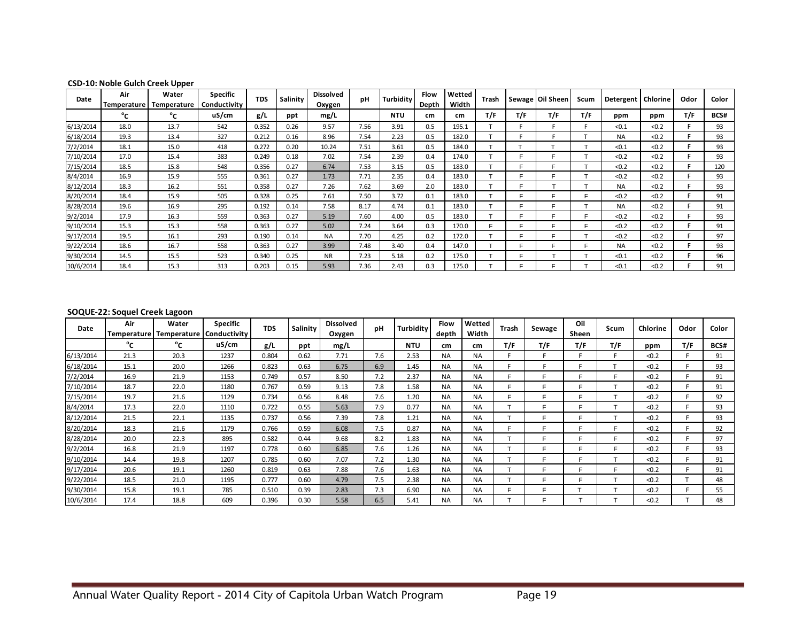| Date      | Air<br>Temperature | Water<br>Temperature | <b>Specific</b><br>Conductivity | <b>TDS</b> | Salinity | <b>Dissolved</b><br>Oxygen | pH   | Turbidity  | <b>Flow</b><br>Depth | Wetted<br>Width | Trash |     | Sewage   Oil Sheen | Scum | Detergent | Chlorine | Odor | Color |
|-----------|--------------------|----------------------|---------------------------------|------------|----------|----------------------------|------|------------|----------------------|-----------------|-------|-----|--------------------|------|-----------|----------|------|-------|
|           | °c                 | °c                   | uS/cm                           | g/L        | ppt      | mg/L                       |      | <b>NTU</b> | cm                   | cm              | T/F   | T/F | T/F                | T/F  | ppm       | ppm      | T/F  | BCS#  |
| 6/13/2014 | 18.0               | 13.7                 | 542                             | 0.352      | 0.26     | 9.57                       | 7.56 | 3.91       | 0.5                  | 195.1           |       |     |                    |      | < 0.1     | < 0.2    |      | 93    |
| 6/18/2014 | 19.3               | 13.4                 | 327                             | 0.212      | 0.16     | 8.96                       | 7.54 | 2.23       | 0.5                  | 182.0           |       |     |                    |      | <b>NA</b> | < 0.2    |      | 93    |
| 7/2/2014  | 18.1               | 15.0                 | 418                             | 0.272      | 0.20     | 10.24                      | 7.51 | 3.61       | 0.5                  | 184.0           |       |     |                    |      | < 0.1     | < 0.2    |      | 93    |
| 7/10/2014 | 17.0               | 15.4                 | 383                             | 0.249      | 0.18     | 7.02                       | 7.54 | 2.39       | 0.4                  | 174.0           |       |     | Е                  |      | < 0.2     | < 0.2    |      | 93    |
| 7/15/2014 | 18.5               | 15.8                 | 548                             | 0.356      | 0.27     | 6.74                       | 7.53 | 3.15       | 0.5                  | 183.0           |       |     |                    |      | < 0.2     | < 0.2    |      | 120   |
| 8/4/2014  | 16.9               | 15.9                 | 555                             | 0.361      | 0.27     | 1.73                       | 7.71 | 2.35       | 0.4                  | 183.0           |       |     | Е                  |      | < 0.2     | < 0.2    |      | 93    |
| 8/12/2014 | 18.3               | 16.2                 | 551                             | 0.358      | 0.27     | 7.26                       | 7.62 | 3.69       | 2.0                  | 183.0           |       |     |                    |      | <b>NA</b> | < 0.2    |      | 93    |
| 8/20/2014 | 18.4               | 15.9                 | 505                             | 0.328      | 0.25     | 7.61                       | 7.50 | 3.72       | 0.1                  | 183.0           |       |     | r.                 |      | < 0.2     | < 0.2    |      | 91    |
| 8/28/2014 | 19.6               | 16.9                 | 295                             | 0.192      | 0.14     | 7.58                       | 8.17 | 4.74       | 0.1                  | 183.0           |       |     | Е                  |      | <b>NA</b> | < 0.2    |      | 91    |
| 9/2/2014  | 17.9               | 16.3                 | 559                             | 0.363      | 0.27     | 5.19                       | 7.60 | 4.00       | 0.5                  | 183.0           |       |     | Е                  | е    | < 0.2     | < 0.2    |      | 93    |
| 9/10/2014 | 15.3               | 15.3                 | 558                             | 0.363      | 0.27     | 5.02                       | 7.24 | 3.64       | 0.3                  | 170.0           |       |     | Е                  | Е    | < 0.2     | < 0.2    |      | 91    |
| 9/17/2014 | 19.5               | 16.1                 | 293                             | 0.190      | 0.14     | <b>NA</b>                  | 7.70 | 4.25       | 0.2                  | 172.0           |       |     | Е                  |      | < 0.2     | < 0.2    |      | 97    |
| 9/22/2014 | 18.6               | 16.7                 | 558                             | 0.363      | 0.27     | 3.99                       | 7.48 | 3.40       | 0.4                  | 147.0           |       |     |                    |      | <b>NA</b> | < 0.2    |      | 93    |
| 9/30/2014 | 14.5               | 15.5                 | 523                             | 0.340      | 0.25     | <b>NR</b>                  | 7.23 | 5.18       | 0.2                  | 175.0           |       |     |                    |      | < 0.1     | < 0.2    |      | 96    |
| 10/6/2014 | 18.4               | 15.3                 | 313                             | 0.203      | 0.15     | 5.93                       | 7.36 | 2.43       | 0.3                  | 175.0           |       |     |                    |      | < 0.1     | < 0.2    |      | 91    |

#### **CSD-10: Noble Gulch Creek Upper**

#### **SOQUE-22: Soquel Creek Lagoon**

| Date      | Air<br>Temperature l | Water<br>Temperature | <b>Specific</b><br>Conductivity | <b>TDS</b> | Salinity | <b>Dissolved</b><br>Oxygen | pH  | Turbidity  | <b>Flow</b><br>depth | Wetted<br>Width | Trash | Sewage | Oil<br>Sheen | Scum | Chlorine | Odor | Color |
|-----------|----------------------|----------------------|---------------------------------|------------|----------|----------------------------|-----|------------|----------------------|-----------------|-------|--------|--------------|------|----------|------|-------|
|           | °∩                   | °c                   | uS/cm                           | g/L        | ppt      | mg/L                       |     | <b>NTU</b> | cm                   | cm              | T/F   | T/F    | T/F          | T/F  | ppm      | T/F  | BCS#  |
| 6/13/2014 | 21.3                 | 20.3                 | 1237                            | 0.804      | 0.62     | 7.71                       | 7.6 | 2.53       | <b>NA</b>            | <b>NA</b>       |       |        |              | F    | < 0.2    |      | 91    |
| 6/18/2014 | 15.1                 | 20.0                 | 1266                            | 0.823      | 0.63     | 6.75                       | 6.9 | 1.45       | <b>NA</b>            | <b>NA</b>       |       |        |              |      | < 0.2    |      | 93    |
| 7/2/2014  | 16.9                 | 21.9                 | 1153                            | 0.749      | 0.57     | 8.50                       | 7.2 | 2.37       | <b>NA</b>            | <b>NA</b>       |       |        |              | Е    | < 0.2    |      | 91    |
| 7/10/2014 | 18.7                 | 22.0                 | 1180                            | 0.767      | 0.59     | 9.13                       | 7.8 | 1.58       | <b>NA</b>            | <b>NA</b>       |       | Е      |              |      | < 0.2    |      | 91    |
| 7/15/2014 | 19.7                 | 21.6                 | 1129                            | 0.734      | 0.56     | 8.48                       | 7.6 | 1.20       | <b>NA</b>            | <b>NA</b>       |       | Е      |              |      | < 0.2    |      | 92    |
| 8/4/2014  | 17.3                 | 22.0                 | 1110                            | 0.722      | 0.55     | 5.63                       | 7.9 | 0.77       | <b>NA</b>            | <b>NA</b>       |       |        |              |      | < 0.2    |      | 93    |
| 8/12/2014 | 21.5                 | 22.1                 | 1135                            | 0.737      | 0.56     | 7.39                       | 7.8 | 1.21       | <b>NA</b>            | <b>NA</b>       |       |        |              |      | < 0.2    |      | 93    |
| 8/20/2014 | 18.3                 | 21.6                 | 1179                            | 0.766      | 0.59     | 6.08                       | 7.5 | 0.87       | <b>NA</b>            | <b>NA</b>       |       | Е      |              | E    | < 0.2    |      | 92    |
| 8/28/2014 | 20.0                 | 22.3                 | 895                             | 0.582      | 0.44     | 9.68                       | 8.2 | 1.83       | <b>NA</b>            | <b>NA</b>       |       | E      |              | E    | < 0.2    |      | 97    |
| 9/2/2014  | 16.8                 | 21.9                 | 1197                            | 0.778      | 0.60     | 6.85                       | 7.6 | 1.26       | <b>NA</b>            | <b>NA</b>       |       | F      |              | F    | < 0.2    |      | 93    |
| 9/10/2014 | 14.4                 | 19.8                 | 1207                            | 0.785      | 0.60     | 7.07                       | 7.2 | 1.30       | <b>NA</b>            | <b>NA</b>       |       | F      | Е            |      | < 0.2    |      | 91    |
| 9/17/2014 | 20.6                 | 19.1                 | 1260                            | 0.819      | 0.63     | 7.88                       | 7.6 | 1.63       | <b>NA</b>            | <b>NA</b>       |       | Е      | Е            | Е    | < 0.2    |      | 91    |
| 9/22/2014 | 18.5                 | 21.0                 | 1195                            | 0.777      | 0.60     | 4.79                       | 7.5 | 2.38       | <b>NA</b>            | <b>NA</b>       |       | E      |              |      | < 0.2    |      | 48    |
| 9/30/2014 | 15.8                 | 19.1                 | 785                             | 0.510      | 0.39     | 2.83                       | 7.3 | 6.90       | <b>NA</b>            | <b>NA</b>       |       | E      |              |      | < 0.2    |      | 55    |
| 10/6/2014 | 17.4                 | 18.8                 | 609                             | 0.396      | 0.30     | 5.58                       | 6.5 | 5.41       | <b>NA</b>            | <b>NA</b>       |       | F      |              |      | < 0.2    |      | 48    |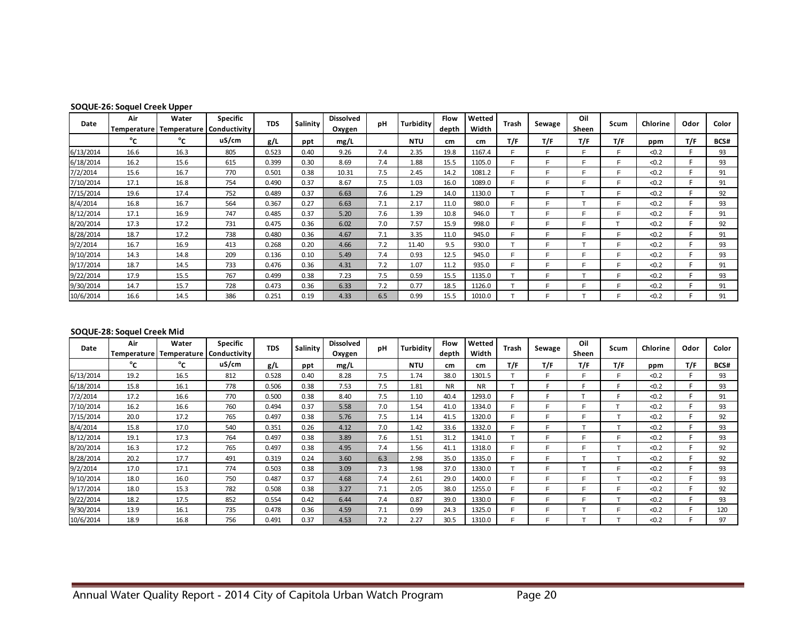| SOQUE-26: Soquel Creek Upper |  |
|------------------------------|--|
|------------------------------|--|

| Date      | Air<br><b>Temperature</b> | Water<br>Temperature | <b>Specific</b><br>Conductivity | <b>TDS</b> | Salinity | <b>Dissolved</b><br>Oxygen | рH  | Turbidity  | Flow<br>depth | Wetted<br>Width | Trash | Sewage | Oil<br>Sheen | Scum | Chlorine | Odor | Color |
|-----------|---------------------------|----------------------|---------------------------------|------------|----------|----------------------------|-----|------------|---------------|-----------------|-------|--------|--------------|------|----------|------|-------|
|           | °c                        | °∩                   | uS/cm                           | g/L        | ppt      | mg/L                       |     | <b>NTU</b> | cm            | cm              | T/F   | T/F    | T/F          | T/F  | ppm      | T/F  | BCS#  |
| 6/13/2014 | 16.6                      | 16.3                 | 805                             | 0.523      | 0.40     | 9.26                       | 7.4 | 2.35       | 19.8          | 1167.4          |       |        |              | Е    | < 0.2    |      | 93    |
| 6/18/2014 | 16.2                      | 15.6                 | 615                             | 0.399      | 0.30     | 8.69                       | 7.4 | 1.88       | 15.5          | 1105.0          |       |        |              |      | < 0.2    |      | 93    |
| 7/2/2014  | 15.6                      | 16.7                 | 770                             | 0.501      | 0.38     | 10.31                      | 7.5 | 2.45       | 14.2          | 1081.2          | Е     | Е      |              | F    | < 0.2    |      | 91    |
| 7/10/2014 | 17.1                      | 16.8                 | 754                             | 0.490      | 0.37     | 8.67                       | 7.5 | 1.03       | 16.0          | 1089.0          |       | E      |              | Е    | < 0.2    |      | 91    |
| 7/15/2014 | 19.6                      | 17.4                 | 752                             | 0.489      | 0.37     | 6.63                       | 7.6 | 1.29       | 14.0          | 1130.0          |       | Е      |              | Е    | < 0.2    |      | 92    |
| 8/4/2014  | 16.8                      | 16.7                 | 564                             | 0.367      | 0.27     | 6.63                       | 7.1 | 2.17       | 11.0          | 980.0           |       | Е      |              | Е    | < 0.2    |      | 93    |
| 8/12/2014 | 17.1                      | 16.9                 | 747                             | 0.485      | 0.37     | 5.20                       | 7.6 | 1.39       | 10.8          | 946.0           |       | E      |              | Е    | < 0.2    |      | 91    |
| 8/20/2014 | 17.3                      | 17.2                 | 731                             | 0.475      | 0.36     | 6.02                       | 7.0 | 7.57       | 15.9          | 998.0           | Е     | F      |              |      | < 0.2    |      | 92    |
| 8/28/2014 | 18.7                      | 17.2                 | 738                             | 0.480      | 0.36     | 4.67                       | 7.1 | 3.35       | 11.0          | 945.0           | Е     | F      |              | F.   | < 0.2    |      | 91    |
| 9/2/2014  | 16.7                      | 16.9                 | 413                             | 0.268      | 0.20     | 4.66                       | 7.2 | 11.40      | 9.5           | 930.0           | Ŧ     | E      |              | F    | < 0.2    |      | 93    |
| 9/10/2014 | 14.3                      | 14.8                 | 209                             | 0.136      | 0.10     | 5.49                       | 7.4 | 0.93       | 12.5          | 945.0           | E     | F      |              | F    | < 0.2    |      | 93    |
| 9/17/2014 | 18.7                      | 14.5                 | 733                             | 0.476      | 0.36     | 4.31                       | 7.2 | 1.07       | 11.2          | 935.0           | Е     | F      |              | Е    | < 0.2    |      | 91    |
| 9/22/2014 | 17.9                      | 15.5                 | 767                             | 0.499      | 0.38     | 7.23                       | 7.5 | 0.59       | 15.5          | 1135.0          | Ŧ     | F.     |              | Е    | < 0.2    |      | 93    |
| 9/30/2014 | 14.7                      | 15.7                 | 728                             | 0.473      | 0.36     | 6.33                       | 7.2 | 0.77       | 18.5          | 1126.0          | Ŧ     | E      |              | E    | < 0.2    |      | 91    |
| 10/6/2014 | 16.6                      | 14.5                 | 386                             | 0.251      | 0.19     | 4.33                       | 6.5 | 0.99       | 15.5          | 1010.0          |       | F      |              | F    | < 0.2    |      | 91    |

#### **SOQUE-28: Soquel Creek Mid**

| Date      | Air<br>Temperature | Water<br>Temperature | <b>Specific</b><br>Conductivity | <b>TDS</b> | <b>Salinity</b> | <b>Dissolved</b><br>Oxygen | pH  | <b>Turbidity</b> | <b>Flow</b><br>depth | Wetted<br>Width | Trash | Sewage | Oil<br>Sheen | Scum           | Chlorine | Odor | Color |
|-----------|--------------------|----------------------|---------------------------------|------------|-----------------|----------------------------|-----|------------------|----------------------|-----------------|-------|--------|--------------|----------------|----------|------|-------|
|           | °c                 | °∩                   | uS/cm                           | g/L        | ppt             | mg/L                       |     | <b>NTU</b>       | cm                   | cm.             | T/F   | T/F    | T/F          | T/F            | ppm      | T/F  | BCS#  |
| 6/13/2014 | 19.2               | 16.5                 | 812                             | 0.528      | 0.40            | 8.28                       | 7.5 | 1.74             | 38.0                 | 1301.5          |       |        | Е            | Е              | < 0.2    |      | 93    |
| 6/18/2014 | 15.8               | 16.1                 | 778                             | 0.506      | 0.38            | 7.53                       | 7.5 | 1.81             | <b>NR</b>            | <b>NR</b>       |       |        |              |                | < 0.2    |      | 93    |
| 7/2/2014  | 17.2               | 16.6                 | 770                             | 0.500      | 0.38            | 8.40                       | 7.5 | 1.10             | 40.4                 | 1293.0          |       |        |              |                | < 0.2    |      | 91    |
| 7/10/2014 | 16.2               | 16.6                 | 760                             | 0.494      | 0.37            | 5.58                       | 7.0 | 1.54             | 41.0                 | 1334.0          |       |        | Е            |                | < 0.2    |      | 93    |
| 7/15/2014 | 20.0               | 17.2                 | 765                             | 0.497      | 0.38            | 5.76                       | 7.5 | 1.14             | 41.5                 | 1320.0          |       | E      | E            |                | < 0.2    |      | 92    |
| 8/4/2014  | 15.8               | 17.0                 | 540                             | 0.351      | 0.26            | 4.12                       | 7.0 | 1.42             | 33.6                 | 1332.0          |       |        |              |                | < 0.2    |      | 93    |
| 8/12/2014 | 19.1               | 17.3                 | 764                             | 0.497      | 0.38            | 3.89                       | 7.6 | 1.51             | 31.2                 | 1341.0          |       | F      | F            | F              | < 0.2    |      | 93    |
| 8/20/2014 | 16.3               | 17.2                 | 765                             | 0.497      | 0.38            | 4.95                       | 7.4 | 1.56             | 41.1                 | 1318.0          |       | F      | F            | T              | < 0.2    |      | 92    |
| 8/28/2014 | 20.2               | 17.7                 | 491                             | 0.319      | 0.24            | 3.60                       | 6.3 | 2.98             | 35.0                 | 1335.0          | Е     | F      |              |                | < 0.2    |      | 92    |
| 9/2/2014  | 17.0               | 17.1                 | 774                             | 0.503      | 0.38            | 3.09                       | 7.3 | 1.98             | 37.0                 | 1330.0          |       | E      |              | F              | < 0.2    |      | 93    |
| 9/10/2014 | 18.0               | 16.0                 | 750                             | 0.487      | 0.37            | 4.68                       | 7.4 | 2.61             | 29.0                 | 1400.0          |       |        | Ë            | Ŧ              | < 0.2    |      | 93    |
| 9/17/2014 | 18.0               | 15.3                 | 782                             | 0.508      | 0.38            | 3.27                       | 7.1 | 2.05             | 38.0                 | 1255.0          |       |        | Ë            | F              | < 0.2    |      | 92    |
| 9/22/2014 | 18.2               | 17.5                 | 852                             | 0.554      | 0.42            | 6.44                       | 7.4 | 0.87             | 39.0                 | 1330.0          |       | E      | Е            | $\mathbf \tau$ | < 0.2    |      | 93    |
| 9/30/2014 | 13.9               | 16.1                 | 735                             | 0.478      | 0.36            | 4.59                       | 7.1 | 0.99             | 24.3                 | 1325.0          |       | E      |              | Е              | < 0.2    |      | 120   |
| 10/6/2014 | 18.9               | 16.8                 | 756                             | 0.491      | 0.37            | 4.53                       | 7.2 | 2.27             | 30.5                 | 1310.0          |       |        |              |                | < 0.2    |      | 97    |